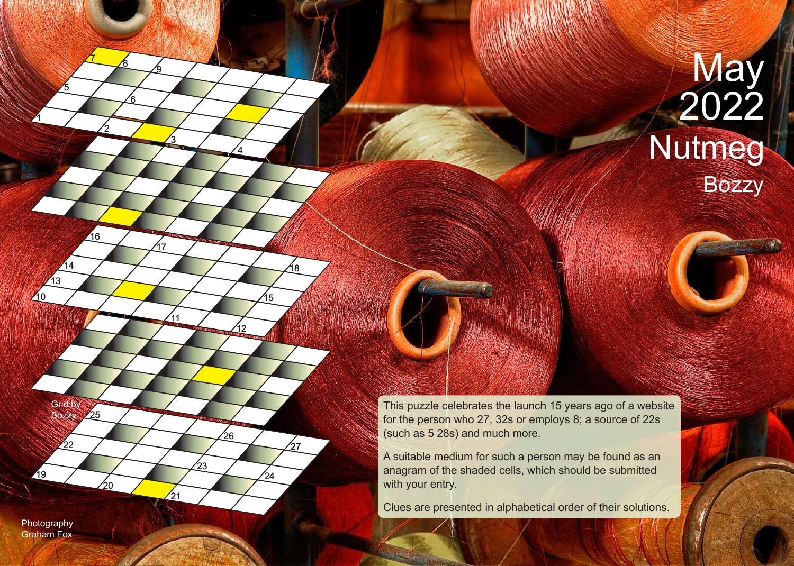Bozzy Nutmeg **May** 1 2022 and 2022

> This puzzle celebrates the launch 15 years ago of a website for the person who 27, 32s or employs 8; a source of 22s (such as 5 28s) and much more.

A suitable medium for such a person may be found as an anagram of the shaded cells, which should be submitted with your entry.

Clues are presented in alphabetical order of their solutions.

Photography Graham Fox

19

 $\overline{22}$ 

Grid by Bozzy

 $25$ 

חל

10 10

 $\sqrt{13}$ 

 $14$ 

2

16

7

6

<u>8</u>

5

<u>3</u>

 $<sub>11</sub>$ </sub>

 $\frac{1}{21}$ 

17

12

4

26

23

15

18

 $27$ 

 $24$ 

<u>ର</u>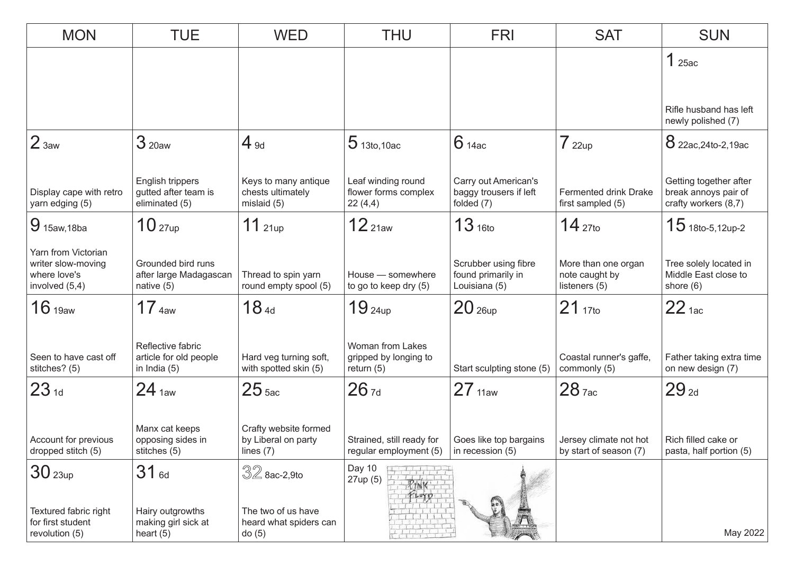| <b>MON</b>                                                                  | <b>TUE</b>                                                    | <b>WED</b>                                                  | <b>THU</b>                                                | <b>FRI</b>                                                   | <b>SAT</b>                                             | <b>SUN</b>                                                             |
|-----------------------------------------------------------------------------|---------------------------------------------------------------|-------------------------------------------------------------|-----------------------------------------------------------|--------------------------------------------------------------|--------------------------------------------------------|------------------------------------------------------------------------|
|                                                                             |                                                               |                                                             |                                                           |                                                              |                                                        | 125ac                                                                  |
|                                                                             |                                                               |                                                             |                                                           |                                                              |                                                        |                                                                        |
|                                                                             |                                                               |                                                             |                                                           |                                                              |                                                        | Rifle husband has left<br>newly polished (7)                           |
| 2 <sub>3aw</sub>                                                            | 3 <sub>20aw</sub>                                             | $4_{9d}$                                                    | $5$ 13to, 10ac                                            | $6$ 14ac                                                     | 722up                                                  | 8 22ac, 24to-2, 19ac                                                   |
| Display cape with retro<br>yarn edging (5)                                  | English trippers<br>gutted after team is<br>eliminated (5)    | Keys to many antique<br>chests ultimately<br>mislaid (5)    | Leaf winding round<br>flower forms complex<br>22(4,4)     | Carry out American's<br>baggy trousers if left<br>folded (7) | Fermented drink Drake<br>first sampled (5)             | Getting together after<br>break annoys pair of<br>crafty workers (8,7) |
| $9$ 15aw, 18ba                                                              | 10 <sub>27up</sub>                                            | $11$ 21up                                                   | 12 <sub>21aw</sub>                                        | 13 <sub>16to</sub>                                           | $14_{\,270}$                                           | $15$ 18to-5,12up-2                                                     |
| Yarn from Victorian<br>writer slow-moving<br>where love's<br>involved (5,4) | Grounded bird runs<br>after large Madagascan<br>native (5)    | Thread to spin yarn<br>round empty spool (5)                | House - somewhere<br>to go to keep dry (5)                | Scrubber using fibre<br>found primarily in<br>Louisiana (5)  | More than one organ<br>note caught by<br>listeners (5) | Tree solely located in<br>Middle East close to<br>shore $(6)$          |
| 16 <sub>19aw</sub>                                                          | 17 <sub>4aw</sub>                                             | 18 <sub>4d</sub>                                            | 19 <sub>24up</sub>                                        | 20 <sub>26up</sub>                                           | $21_{17}$ to                                           | 22 <sub>1ac</sub>                                                      |
| Seen to have cast off<br>stitches? (5)                                      | Reflective fabric<br>article for old people<br>in India $(5)$ | Hard veg turning soft,<br>with spotted skin (5)             | Woman from Lakes<br>gripped by longing to<br>return $(5)$ | Start sculpting stone (5)                                    | Coastal runner's gaffe,<br>commonly (5)                | Father taking extra time<br>on new design (7)                          |
| 23 <sub>1d</sub>                                                            | 24 <sub>1aw</sub>                                             | 25 <sub>5ac</sub>                                           | $26$ <sub>7d</sub>                                        | 27 <sub>11aw</sub>                                           | $28$ $7ac$                                             | $29_{2d}$                                                              |
| Account for previous<br>dropped stitch (5)                                  | Manx cat keeps<br>opposing sides in<br>stitches (5)           | Crafty website formed<br>by Liberal on party<br>lines $(7)$ | Strained, still ready for<br>regular employment (5)       | Goes like top bargains<br>in recession (5)                   | Jersey climate not hot<br>by start of season (7)       | Rich filled cake or<br>pasta, half portion (5)                         |
| 30 <sub>23up</sub>                                                          | 31 <sub>6d</sub>                                              | $32$ 8ac-2,9to                                              | Day 10<br>27up (5)                                        |                                                              |                                                        |                                                                        |
| Textured fabric right<br>for first student<br>revolution (5)                | Hairy outgrowths<br>making girl sick at<br>heart $(5)$        | The two of us have<br>heard what spiders can<br>do(5)       |                                                           |                                                              |                                                        | May 2022                                                               |